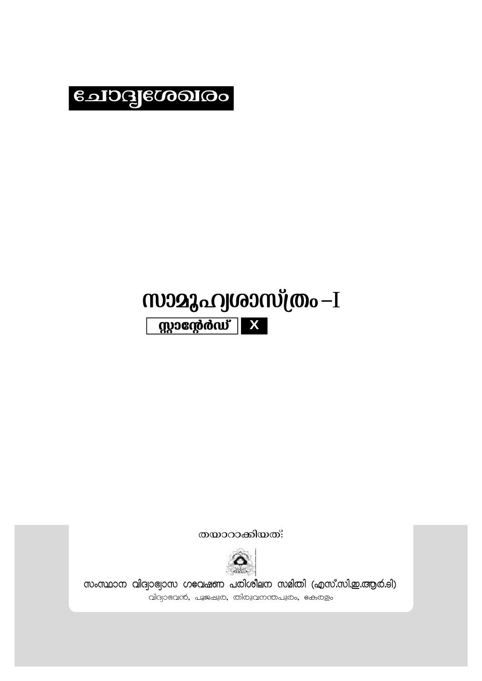

## സാമുഹ്വശാസ്ത്രം-I mondo and the mond of the main of the main set of the main set of the main set of the main set of the main set of the main set of the main set of the main set of the main set of the main set of the main set of the main set

തയാറാകിയത്:



സംസ്ഥാന വിദ്വാഭ്വാസ ഗeവഷണ പരിശീലന സമിതി (എസ്.സി.ഇ.ആർ.ടി) വിദ്യാഭവൻ, പൂജഷുര, തിരുവനന്തപുരം, ഭകരളം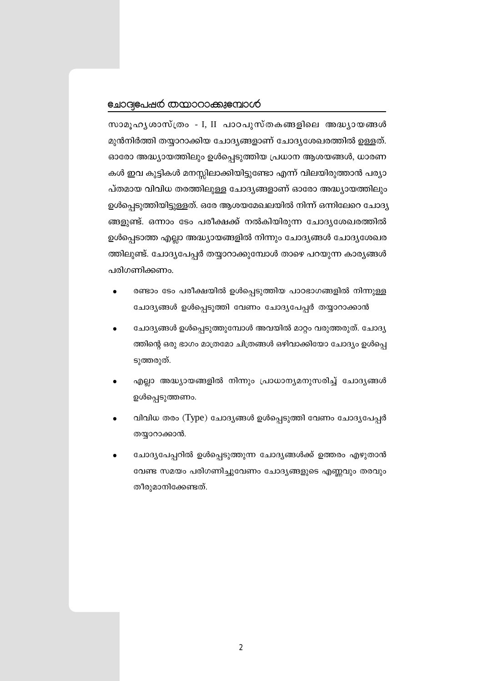## ലോദ്വഭപഷർ തന്മാറാക്കുഭമ്പാൾ

സാമൂഹൃശാസ്ത്രം - I, II പാഠപുസ്തകങ്ങളിലെ അദ്ധ്യായങ്ങൾ മുൻനിർത്തി തയ്യാറാക്കിയ ചോദ്യങ്ങളാണ് ചോദ്യശേഖരത്തിൽ ഉള്ളത്. ഓരോ അദ്ധ്യായത്തിലും ഉൾപ്പെടുത്തിയ പ്രധാന ആശയങ്ങൾ, ധാരണ കൾ ഇവ കുട്ടികൾ മനസ്സിലാക്കിയിട്ടുണ്ടോ എന്ന് വിലയിരുത്താൻ പര്യാ പ്തമായ വിവിധ തരത്തിലുള്ള ചോദ്യങ്ങളാണ് ഓരോ അദ്ധ്യായത്തിലും ഉൾപ്പെടുത്തിയിട്ടുള്ളത്. ഒരേ ആശയമേഖലയിൽ നിന്ന് ഒന്നിലേറെ ചോദ്യ ങ്ങളുണ്ട്. ഒന്നാം ടേം പരീക്ഷക്ക് നൽകിയിരുന്ന ചോദ്യശേഖരത്തിൽ ഉൾപ്പെടാത്ത എല്ലാ അദ്ധ്യായങ്ങളിൽ നിന്നും ചോദ്യങ്ങൾ ചോദ്യശേഖര ത്തിലുണ്ട്. ചോദ്യപേപ്പർ തയ്യാറാക്കുമ്പോൾ താഴെ പറയുന്ന കാര്യങ്ങൾ പരിഗണിക്കണം.

- രണ്ടാം ടേം പരീക്ഷയിൽ ഉൾപ്പെടുത്തിയ പാഠഭാഗങ്ങളിൽ നിന്നുള്ള ചോദ്യങ്ങൾ ഉൾപ്പെടുത്തി വേണം ചോദ്യപേപ്പർ തയ്യാറാക്കാൻ
- ചോദ്യങ്ങൾ ഉൾപ്പെടുത്തുമ്പോൾ അവയിൽ മാറ്റം വരുത്തരുത്. ചോദ്യ ത്തിന്റെ ഒരു ഭാഗം മാത്രമോ ചിത്രങ്ങൾ ഒഴിവാക്കിയോ ചോദ്യം ഉൾപ്പെ ടുത്തരുത്.
- എല്ലാ അദ്ധ്യായങ്ങളിൽ നിന്നും പ്രാധാന്യമനുസരിച്ച് ചോദ്യങ്ങൾ ഉൾപ്പെടുത്തണം.
- വിവിധ തരം (Type) ചോദ്യങ്ങൾ ഉൾപ്പെടുത്തി വേണം ചോദ്യപേപ്പർ തയ്യാറാക്കാൻ.
- ചോദ്യപേപ്പറിൽ ഉൾപ്പെടുത്തുന്ന ചോദ്യങ്ങൾക്ക് ഉത്തരം എഴുതാൻ വേണ്ട സമയം പരിഗണിച്ചുവേണം ചോദ്യങ്ങളുടെ എണ്ണവും തരവും തീരുമാനിക്കേണ്ടത്.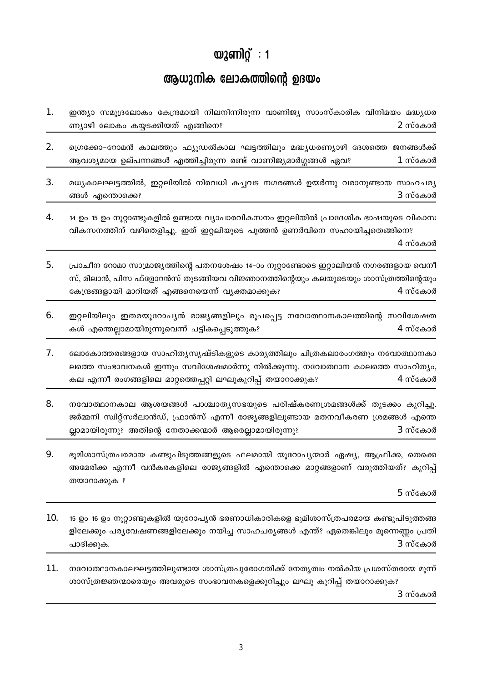## $\omega$ 2 ണിറ്റ്: 1

## ആധുനിക ലോകത്തിന്റെ ഉദയം

 $\mathbf{1}$ . ഇന്ത്യാ സമുദ്രലോകം കേന്ദ്രമായി നിലനിന്നിരുന്ന വാണിജ്യ സാംസ്കാരിക വിനിമയം മദ്ധ്യധര ണ്യാഴി ലോകം കയ്യടക്കിയത് എങ്ങിനെ? 2 സ്കോർ

2. ഗ്രെക്കോ-റോമൻ കാലത്തും ഫ്യൂഡൽകാല ഘട്ടത്തിലും മദ്ധ്യധരണ്യാഴി ദേശത്തെ ജനങ്ങൾക്ക് ആവശ്യമായ ഉല്പന്നങ്ങൾ എത്തിച്ചിരുന്ന രണ്ട് വാണിജ്യമാർഗ്ഗങ്ങൾ ഏവ? 1 സ്കോർ

 $\overline{3}$ . മധ്യകാലഘട്ടത്തിൽ, ഇറ്റലിയിൽ നിരവധി കച്ചവട നഗരങ്ങൾ ഉയർന്നു വരാനുണ്ടായ സാഹചര്യ ങ്ങൾ എന്തൊക്കെ? 3 സ്കോർ

 $\overline{4}$ . 14 ഉം 15 ഉം നുറ്റാണ്ടുകളിൽ ഉണ്ടായ വ്യാപാരവികസനം ഇറ്റലിയിൽ പ്രാദേശിക ഭാഷയുടെ വികാസ വികസനത്തിന് വഴിതെളിച്ചു. ഇത് ഇറ്റലിയുടെ പുത്തൻ ഉണർവിനെ സഹായിച്ചതെങ്ങിനെ?

4 സ്കോർ

- $5<sub>1</sub>$ പ്രാചീന റോമാ സാമ്രാജ്യത്തിന്റെ പതനശേഷം 14-ാം നൂറ്റാണ്ടോടെ ഇറ്റാലിയൻ നഗരങ്ങളായ വെനീ സ്, മിലാൻ, പിസ ഫ്ളോറൻസ് തുടങ്ങിയവ വിജ്ഞാനത്തിന്റെയും കലയുടെയും ശാസ്ത്രത്തിന്റെയും 4 സ്കോർ കേന്ദ്രങ്ങളായി മാറിയത് എങ്ങനെയെന്ന് വ്യക്തമാക്കുക?
- 6. ഇറ്റലിയിലും ഇതരയൂറോപ്യൻ രാജ്യങ്ങളിലും രൂപപ്പെട്ട നവോത്ഥാനകാലത്തിന്റെ സവിശേഷത കൾ എന്തെല്ലാമായിരുന്നുവെന്ന് പട്ടികപ്പെടുത്തുക? 4 സ്കോർ
- 7. ലോകോത്തരങ്ങളായ സാഹിത്യസൃഷ്ടികളുടെ കാര്യത്തിലും ചിത്രകലാരംഗത്തും നവോത്ഥാനകാ ലത്തെ സംഭാവനകൾ ഇന്നും സവിശേഷമാർന്നു നിൽക്കുന്നു. നവോത്ഥാന കാലത്തെ സാഹിത്യം, കല എന്നീ രംഗങ്ങളിലെ മാറ്റത്തെപ്പറ്റി ലഘുകുറിപ്പ് തയാറാക്കുക? 4 സ്കോർ
- 8. നവോത്ഥാനകാല ആശയങ്ങൾ പാശ്ചാതൃസഭയുടെ പരിഷ്കരണശ്രമങ്ങൾക്ക് തുടക്കം കുറിച്ചു. ജർമ്മനി സ്വിറ്റ്സർലാൻഡ്, ഫ്രാൻസ് എന്നീ രാജ്യങ്ങളിലുണ്ടായ മതനവീകരണ ശ്രമങ്ങൾ എന്തെ ല്ലാമായിരുന്നു? അതിന്റെ നേതാക്കന്മാർ ആരെല്ലാമായിരുന്നു? 3 സ്കോർ
- 9. ഭൂമിശാസ്ത്രപരമായ കണ്ടുപിടുത്തങ്ങളുടെ ഫലമായി യൂറോപൃന്മാർ ഏഷ്യ, ആഫ്രിക്ക, തെക്കെ അമേരിക്ക എന്നീ വൻകരകളിലെ രാജ്യങ്ങളിൽ എന്തൊക്കെ മാറ്റങ്ങളാണ് വരുത്തിയത്? കുറിപ്പ് തയാറാക്കുക ?

5 സ്കോർ

- 10. 15 ഉം 16 ഉം നുറ്റാണ്ടുകളിൽ യുറോപ്യൻ ഭരണാധികാരികളെ ഭുമിശാസ്ത്രപരമായ കണ്ടുപിടുത്തങ്ങ ളിലേക്കും പര്യവേഷണങ്ങളിലേക്കും നയിച്ച സാഹചര്യങ്ങൾ എന്ത്? ഏതെങ്കിലും മൂന്നെണ്ണം പ്രതി  $3$  സ്കോർ പാദിക്കുക.
- നവോത്ഥാനകാലഘട്ടത്തിലുണ്ടായ ശാസ്ത്രപുരോഗതിക്ക് നേതൃത്വം നൽകിയ പ്രശസ്തരായ മൂന്ന് 11. ശാസ്ത്രജ്ഞന്മാരെയും അവരുടെ സംഭാവനകളെക്കുറിച്ചും ലഘു കുറിപ്പ് തയാറാക്കുക? 3 സ്കോർ